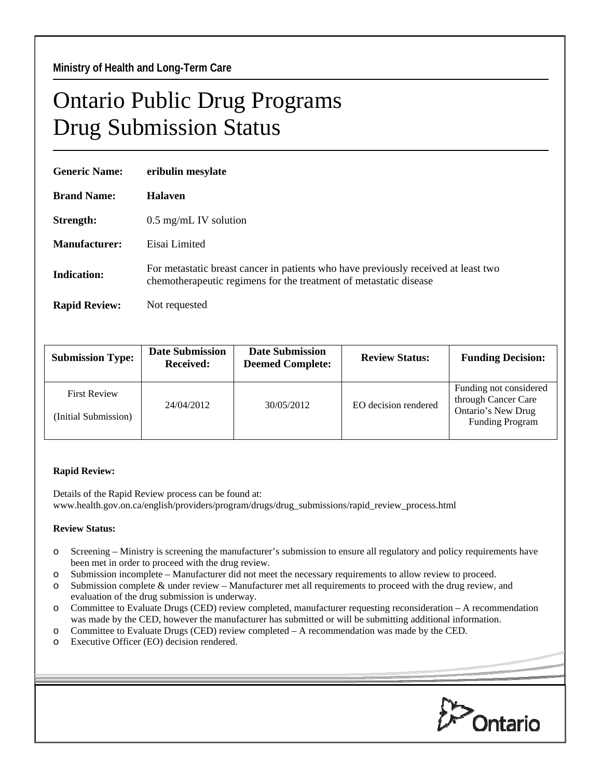## Ontario Public Drug Programs Drug Submission Status

| <b>Generic Name:</b> | eribulin mesylate                                                                                                                                       |  |  |  |
|----------------------|---------------------------------------------------------------------------------------------------------------------------------------------------------|--|--|--|
| <b>Brand Name:</b>   | <b>Halaven</b>                                                                                                                                          |  |  |  |
| Strength:            | $0.5 \text{ mg/mL}$ IV solution                                                                                                                         |  |  |  |
| Manufacturer:        | Eisai Limited                                                                                                                                           |  |  |  |
| <b>Indication:</b>   | For metastatic breast cancer in patients who have previously received at least two<br>chemotherapeutic regimens for the treatment of metastatic disease |  |  |  |
| <b>Rapid Review:</b> | Not requested                                                                                                                                           |  |  |  |

| <b>Submission Type:</b>                     | <b>Date Submission</b><br><b>Received:</b> | <b>Date Submission</b><br><b>Deemed Complete:</b> | <b>Review Status:</b> | <b>Funding Decision:</b>                                                                      |
|---------------------------------------------|--------------------------------------------|---------------------------------------------------|-----------------------|-----------------------------------------------------------------------------------------------|
| <b>First Review</b><br>(Initial Submission) | 24/04/2012                                 | 30/05/2012                                        | EO decision rendered  | Funding not considered<br>through Cancer Care<br>Ontario's New Drug<br><b>Funding Program</b> |

## **Rapid Review:**

Details of the Rapid Review process can be found at: www.health.gov.on.ca/english/providers/program/drugs/drug\_submissions/rapid\_review\_process.html

## **Review Status:**

- o Screening Ministry is screening the manufacturer's submission to ensure all regulatory and policy requirements have been met in order to proceed with the drug review.
- o Submission incomplete Manufacturer did not meet the necessary requirements to allow review to proceed.
- o Submission complete & under review Manufacturer met all requirements to proceed with the drug review, and evaluation of the drug submission is underway.
- o Committee to Evaluate Drugs (CED) review completed, manufacturer requesting reconsideration A recommendation was made by the CED, however the manufacturer has submitted or will be submitting additional information.
- o Committee to Evaluate Drugs (CED) review completed A recommendation was made by the CED.
- o Executive Officer (EO) decision rendered.